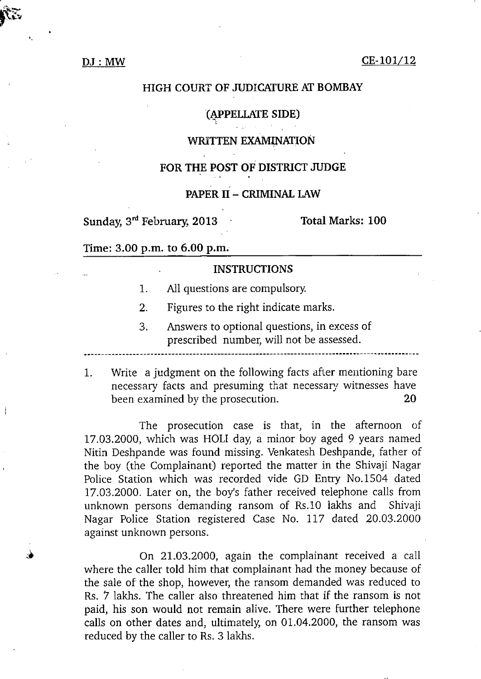### **DJ: MW**

### **CE-10l/12**

# $\mathbf{H}$ **CH**  $\mathbf{G}$ **HIGH COURT OF JUDICATURE AT BOMBAY SUONE AT BOMBAY**<br>
HIGH COURT OF JUDICATURE AT BOMBAY<br>
(APPELLATE SIDE)<br>
WRITTEN EXAMINATION<br>
FOR THE POST OF DISTRICT JUDGE<br>
PAPER II – CRIMINAL LAW<br>
Sunday, 3<sup>rd</sup> February, 2013<br>
Time: 3.00 p.m. to 6.00 p.m.<br>
NISTRICTION

## **(IPPELLATE SIDE)**

### **WRITTEN EXAMINATION**

### **FOR THE POST OF DISTRICT JUDGE**

# **PAPER II - CRIMINAL LAW**

Time: 3.00 p.m. to 6.00 p.m.

### INSTRUCTIONS

- 1. All questions are compulsory.
- 2. Figures to the right indicate marks.
- 3. Answers to optional questions, in excess of prescribed number, will not be assessed.

3. Answers to optional questions, in excess of<br>prescribed number, will not be assessed.<br>1. Write a judgment on the following facts after mentioning bare<br>necessary facts and presuming that necessary witnesses have ables to the prosecution.<br>
The prosecutions of the prosecutions<br>
1. All questions are compulsory.<br>
2. Figures to the right indicate marks.<br>
3. Answers to optional questions, in excess of<br>
prescribed number, will not be ass

The prosecution case is that, in the afternoon of 17.03.2000, which was HOLI day, a minor boy aged 9 years named Nitin Deshpande was found missing. Venkatesh Deshpande, father of the boy (the Complainant) reported the matter in the Shivaji Nagar Police Station which was recorded vide GD Entry No.1504 dated 17.03.2000. Later on, the boy's father received telephone calls from unknown persons demanding ransom of Rs.10 lakhs and Shivaji Nagar Police Station registered Case No. 117 dated 20.03.2000 against unknown persons.

On 21.03.2000, again the complainant received a call where the caller told him that complainant had the money because of the sale of the shop, however, the ransom demanded was reduced to Rs. 7 Iakhs. The caller also threatened him that if the ransom is not paid, his son would not remain alive. There were further telephone calls on other dates and, ultimately, on 01.04.2000, the ransom was reduced by the caller to Rs. 3 lakhs.

j

 $\bullet$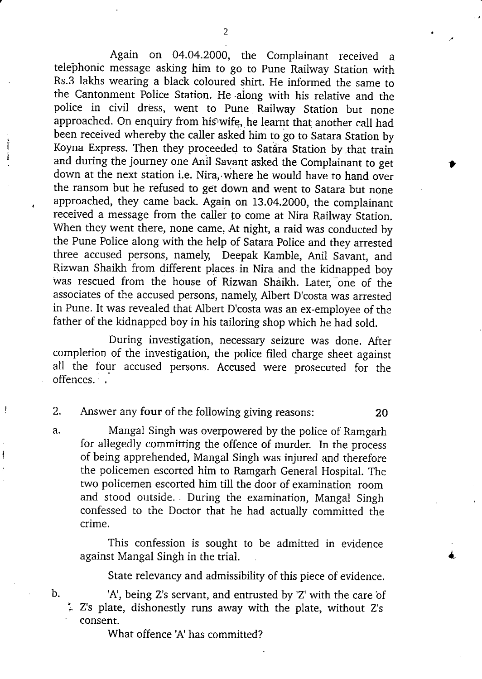Again on 04.04.2000, the Complainant received a telephonic message asking him to go to Pune Railway Station with Rs.3 lakhs wearing a black coloured shirt. He informed the same to the Cantonment Police Station. He along with his relative and the police in civil dress, went to Pune Railway Station but none approached. On enquiry from his'wife, he learnt that another call had been received whereby the caller asked him to go to Satara Station by Koyna Express. Then they proceeded to Satara Station by that train and during the journey one Anil Savant asked the Complainant to get Again on 04.04.2000, the Complainant received a telephonic message asking him to go to Pune Railway Station with Rs.3 lakhs wearing a black coloured shirt. He informed the same to the Cantonment Police Station. He along w down at the next station i.e. Nira, where he would have to hand over the ransom but he refused to get down and went to Satara but none approached, they came back. Again on 13.04.2000, the complainant received a message from the caller to come at Nira Railway Station. When they went there, none came. At night, a raid was conducted by the Pune Police along with the help of Satara Police and they arrested three accused persons, namely, Deepak Kamble, Anil Savant, and Rizwan Shaikh from different places. in Nira and the kidnapped boy Was rescued from the house of Rizwan Shaikh. Later, one of the associates of the accused persons, namely, Albert D'costa was arrested in Pune. It was revealed that Albert D'costa was an ex-employee of the father of the kidnapped boy in his tailoring shop which he had sold. the Pune Police along with the help of Satara Police and they arrested<br>three accused persons, namely, Deepak Kamble, Anil Savant, an<br>Rizwan Shaikh from different places in Nira and the kidnapped bo<br>was rescued from the hou

During investigation, necessary seizure was done. After completion of the investigation, the police filed charge sheet against all the four accused persons. Accused were prosecuted for the offences.

Ţ

a. Mangal Singh was overpowered by the police of Ramgarh for allegedly committing the offence of murder. In the process of being apprehended, Mangal Singh was injured and therefore the policemen escorted him to Ramgarh General Hospital. The two policemen escorted him till the door of examination room and stood outside. During the examination, Mangal Singh confessed to the Doctor that he had actually committed the crime.

This confession is sought to be admitted in evidence against Mangal Singh in the trial.

State relevancy and admissibility of this piece of evidence.

b. 'A', being Z's servant, and entrusted by 'Z' with the care of Z's plate, dishonestly runs away with the plate, without Z's consent.

What offence 'A' has committed?

2

-ft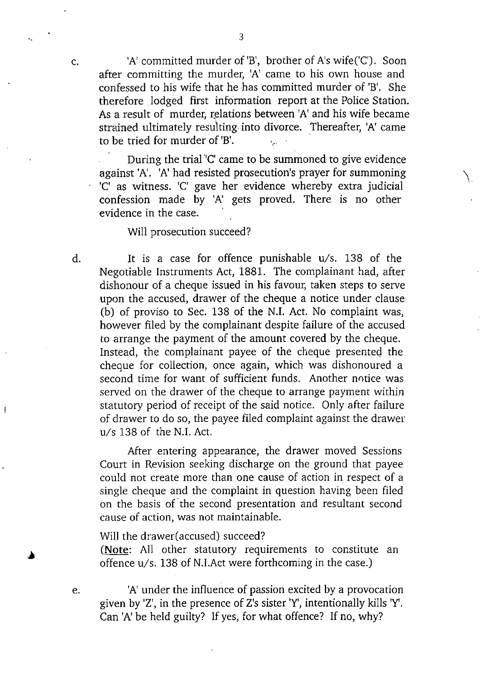$c.$  'A' committed murder of 'B', brother of A's wife( $C'$ ). Soon after committing the murder, 'A' came to his own house and confessed to his *wife* that he has committed murder of 'B'. She therefore lodged first information report at the Police Station. As a result of murder, relations between 'A' and his wife became strained ultimately resulting. into divorce. Thereafter, 'A' came to be tried for murder of 'B'.

During the trial 'C' came to be summoned to give evidence against 'A'. 'A' had resisted prosecution's prayer for summoning 'C' as witness. 'C' gave her evidence whereby extra judicial confession made by 'A' gets proved. There is no other evidence in the case.

Will prosecution succeed?

a

 $\mathbf{I}$ 

 

d. It is a case for offence punishable u/s. 138 of the Negotiable Instruments Act, 1881. The complainant had, after dishonour of a cheque issued in his favour, taken steps to serve upon the accused, drawer of the cheque a notice under clause (b) of proviso to Sec. 138 of the N.J. Act. No complaint was, however filed by the complainant despite failure of the accused to arrange the payment of the amount covered by the cheque. Instead, the complainant payee of the cheque presented the cheque for collection, once again, which was dishonoured a second time for want of sufficient funds. Another notice was served on the drawer of the cheque to arrange payment within statutory period of receipt of the said notice. Only after failure of drawer to do so, the payee filed complaint against the drawer u/s 138 of the N.I. Act.

After entering appearance, the drawer moved Sessions Court in Revision seeking discharge on the ground that payee could not create more than one cause of action in respect of a single cheque and the complaint in question having been filed on the basis of'the second presentation and resultant second cause of action, was not maintainable.

Will the drawer(accused) succeed?

(Note: All other statutory requirements to constitute an offence u/s. 138 of N.I.Act were forthcoming in the case.)

e. 'A' under the influence of passion excited by a provocation given by 'Z', in the presence of Z's sister 'Y, intentionally kills Y. Can 'A' be held guilty? If yes, for what offence? If no, why?

3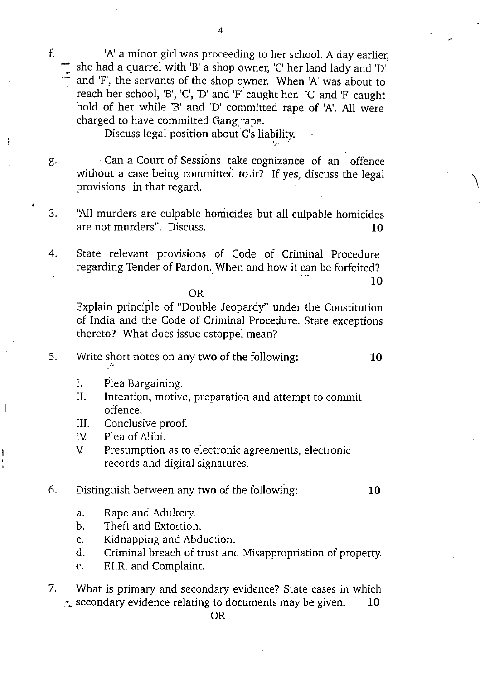f. 'A' a minor girl was proceeding to her school. A day earlier, she had a quarrel with 'B' a shop owner, 'C' her land lady and 'D' and 'F', the servants of the shop owner. When 'A' was about to reach her school, 'B', 'C', 'D' and 'F' caught her. 'C' and 'F' caught hold of her while 'B' and 'D' committed rape of 'A'. All were charged to have committed Gang rape. 'A' a minor girl was proceeding to her school. A day earlies<br>
she had a quarrel with 'B' a shop owner, 'C' her land lady and 'D<br>
and 'F', the servants of the shop owner. When 'A' was about to<br>
reach her school, 'B', 'C', '

4

Discuss legal position about C's liability.

- g. Can a Court of Sessions take cognizance of an offence without a case being committed to.it? If yes, discuss the legal provisions in that regard. 3. Can a Court of Sessions take cognizance of an offence<br>without a case being committed to it? If yes, discuss the legal<br>provisions in that regard.<br>3. "All murders are culpable homicides but all culpable homicides<br>are not
- 
- 4. State relevant provisions of Code of Criminal Procedure<br>
1 are not murders". Discuss.<br>
4. State relevant provisions of Code of Criminal Procedure<br>
1 regarding Tender of Pardon. When and how it can be forfeited? ss the leg<br>Procedu:<br>Forfeited<br>Corfeited 10

OR

Explain principle of "Double Jeopardy" under the Constitution of India and the Code of Criminal Procedure. State exceptions thereto? What does issue estoppel mean? provisions in that regard.<br>
3. "All murders are culpable homicides but all culpable homicides<br>
are not murders". Discuss. 10<br>
4. State relevant provisions of Code of Criminal Procedure<br>
regarding Tender of Pardon. When and of India and the Code of Criminal Procedure. State exceptions<br>thereto? What does issue estoppel mean?<br>5. Write short notes on any two of the following:<br>10. The Bargaining.<br>11. Intention, motive, preparation and attempt to

- - I. Plea Bargaining.

Ť

- II. Intention, motive, preparation and attempt to commit offence. I. Frea Bargain<br>II. Intention, m<br>offence.<br>III. Conclusive p<br>IV. Plea of Alibi.<br>V. Presumption
- III. Conclusive proof.
- 
- III. Conclusive proof.<br>IV. Plea of Alibi.<br>V. Presumption as to electronic agreements, electronic records and digital signatures.

# Distinguish between any two of the following:<br>
a. Rape and Adultery.<br>
b. Theft and Extortion.<br>
c. Kidnapping and Abduction.<br>
d. Criminal breach of trust and Misappropri

- a. Rape and Adultery.
- b. Theft and Extortion.
- 
- d. Criminal breach of trust and Misappropriation of property.
- e. EI.R. and Complaint.
- 7. What is primary and Abduction.<br>
7. What is primary and secondary evidence? State cases in which<br>  $\pm$  secondary evidence relating to documents may be given.<br>
10<br>
OR

OR